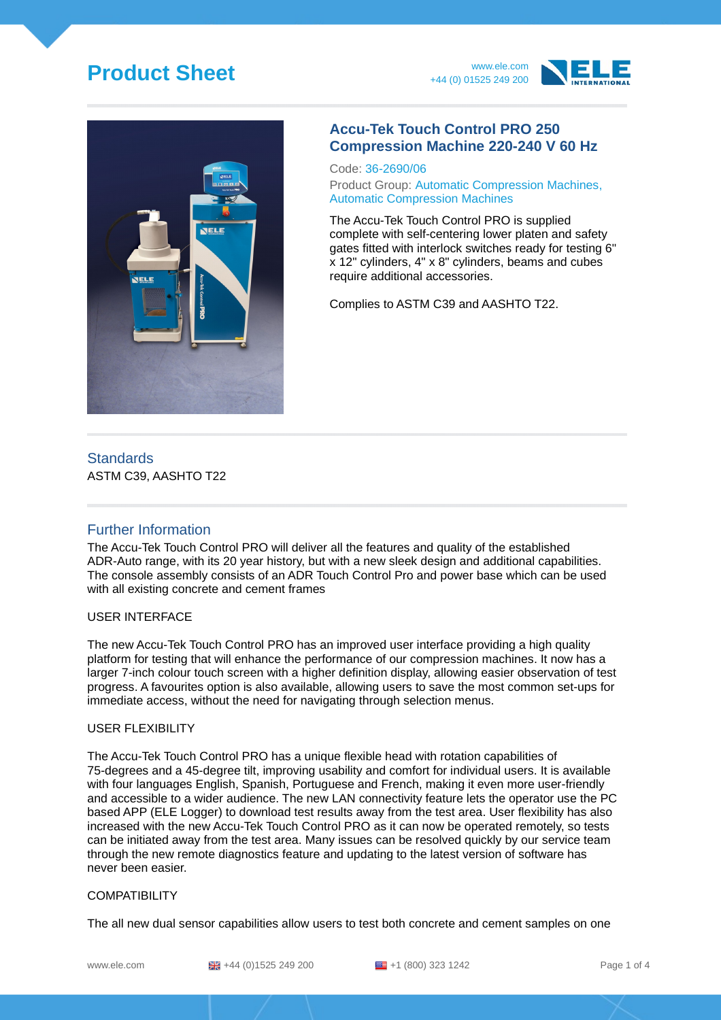# **Product Sheet** www.ele.com





## **Accu-Tek Touch Control PRO 250 Compression Machine 220-240 V 60 Hz**

Code: 36-2690/06

Product Group: Automatic Compression Machines, Automatic Compression Machines

The Accu-Tek Touch Control PRO is supplied complete with self-centering lower platen and safety gates fitted with interlock switches ready for testing 6" x 12" cylinders, 4" x 8" cylinders, beams and cubes require additional accessories.

Complies to ASTM C39 and AASHTO T22.

#### **Standards** ASTM C39, AASHTO T22

## Further Information

The Accu-Tek Touch Control PRO will deliver all the features and quality of the established ADR-Auto range, with its 20 year history, but with a new sleek design and additional capabilities. The console assembly consists of an ADR Touch Control Pro and power base which can be used with all existing concrete and cement frames

#### USER INTERFACE

The new Accu-Tek Touch Control PRO has an improved user interface providing a high quality platform for testing that will enhance the performance of our compression machines. It now has a larger 7-inch colour touch screen with a higher definition display, allowing easier observation of test progress. A favourites option is also available, allowing users to save the most common set-ups for immediate access, without the need for navigating through selection menus.

#### USER FLEXIBILITY

The Accu-Tek Touch Control PRO has a unique flexible head with rotation capabilities of 75-degrees and a 45-degree tilt, improving usability and comfort for individual users. It is available with four languages English, Spanish, Portuguese and French, making it even more user-friendly and accessible to a wider audience. The new LAN connectivity feature lets the operator use the PC based APP (ELE Logger) to download test results away from the test area. User flexibility has also increased with the new Accu-Tek Touch Control PRO as it can now be operated remotely, so tests can be initiated away from the test area. Many issues can be resolved quickly by our service team through the new remote diagnostics feature and updating to the latest version of software has never been easier.

#### **COMPATIBILITY**

The all new dual sensor capabilities allow users to test both concrete and cement samples on one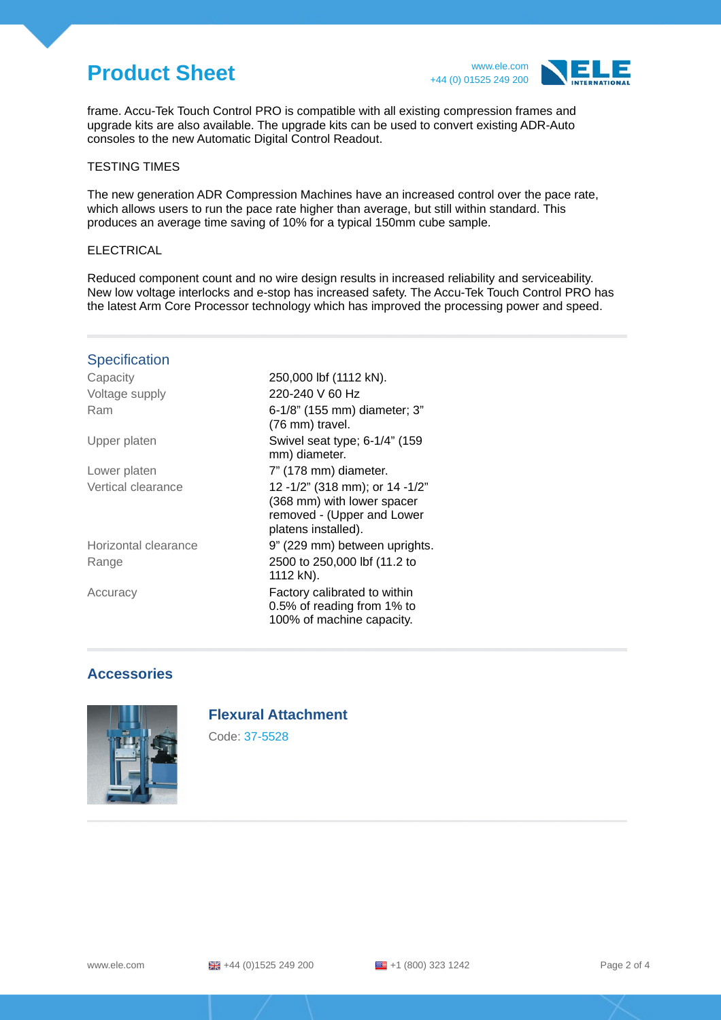## **Product Sheet** www.ele.com



frame. Accu-Tek Touch Control PRO is compatible with all existing compression frames and upgrade kits are also available. The upgrade kits can be used to convert existing ADR-Auto consoles to the new Automatic Digital Control Readout.

#### TESTING TIMES

The new generation ADR Compression Machines have an increased control over the pace rate, which allows users to run the pace rate higher than average, but still within standard. This produces an average time saving of 10% for a typical 150mm cube sample.

#### **ELECTRICAL**

Reduced component count and no wire design results in increased reliability and serviceability. New low voltage interlocks and e-stop has increased safety. The Accu-Tek Touch Control PRO has the latest Arm Core Processor technology which has improved the processing power and speed.

#### **Specification**

| 250,000 lbf (1112 kN).                                                                                            |
|-------------------------------------------------------------------------------------------------------------------|
| 220-240 V 60 Hz                                                                                                   |
| 6-1/8" (155 mm) diameter; 3"<br>(76 mm) travel.                                                                   |
| Swivel seat type; 6-1/4" (159<br>mm) diameter.                                                                    |
| 7" (178 mm) diameter.                                                                                             |
| 12 -1/2" (318 mm); or 14 -1/2"<br>(368 mm) with lower spacer<br>removed - (Upper and Lower<br>platens installed). |
| 9" (229 mm) between uprights.                                                                                     |
| 2500 to 250,000 lbf (11.2 to<br>1112 kN).                                                                         |
| Factory calibrated to within<br>0.5% of reading from 1% to<br>100% of machine capacity.                           |
|                                                                                                                   |

### **Accessories**



### **Flexural Attachment**

Code: 37-5528

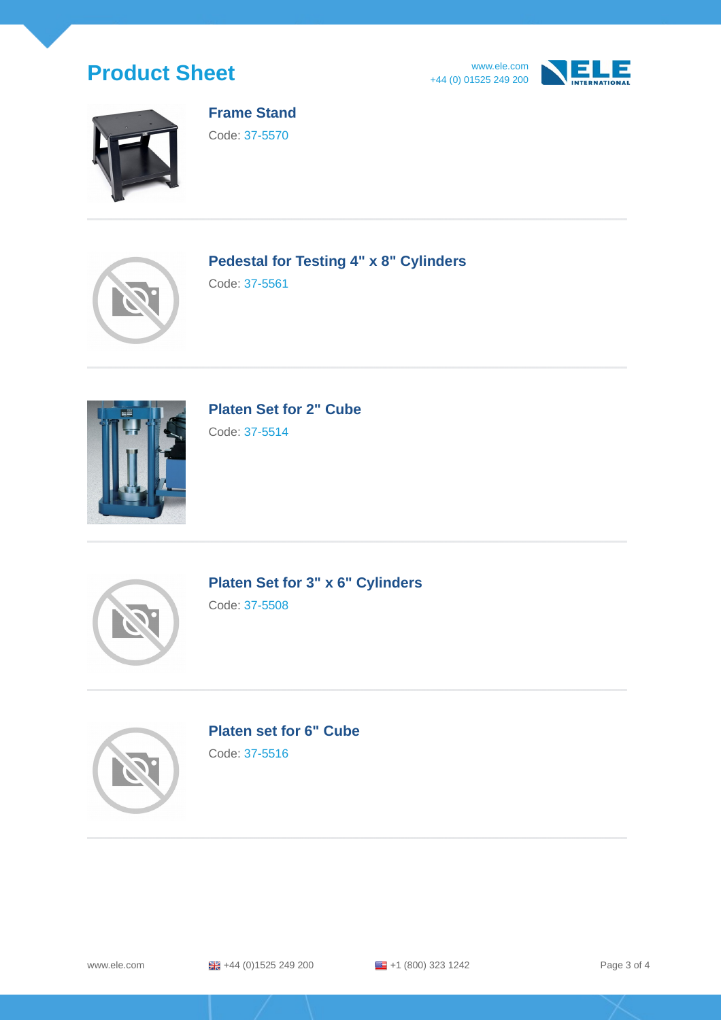







## **Frame Stand**

Code: 37-5570



**Pedestal for Testing 4" x 8" Cylinders**

Code: 37-5561



**Platen Set for 2" Cube**

Code: 37-5514



**Platen Set for 3" x 6" Cylinders**

Code: 37-5508



## **Platen set for 6" Cube**

Code: 37-5516